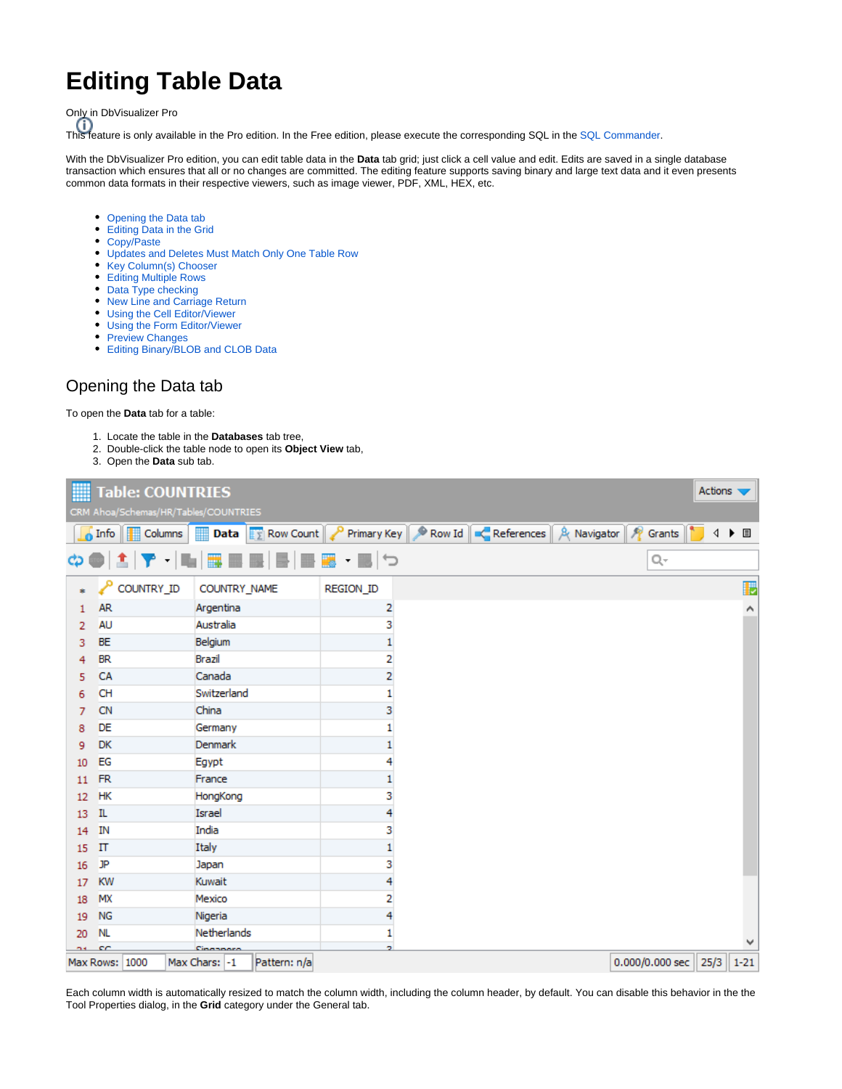# **Editing Table Data**

Only in DbVisualizer Pro

This feature is only available in the Pro edition. In the Free edition, please execute the corresponding SQL in the [SQL Commander](https://confluence.dbvis.com/display/UG95/Working+with+SQL).

With the DbVisualizer Pro edition, you can edit table data in the **Data** tab grid; just click a cell value and edit. Edits are saved in a single database transaction which ensures that all or no changes are committed. The editing feature supports saving binary and large text data and it even presents common data formats in their respective viewers, such as image viewer, PDF, XML, HEX, etc.

- [Opening the Data tab](#page-0-0)
- [Editing Data in the Grid](#page-1-0)
- [Copy/Paste](#page-1-1)
- [Updates and Deletes Must Match Only One Table Row](#page-3-0)
- [Key Column\(s\) Chooser](#page-3-1)
- [Editing Multiple Rows](#page-4-0)
- [Data Type checking](#page-4-1)
- [New Line and Carriage Return](#page-5-0)
- [Using the Cell Editor/Viewer](#page-5-1)
- [Using the Form Editor/Viewer](#page-6-0)
- [Preview Changes](#page-7-0)
- [Editing Binary/BLOB and CLOB Data](#page-8-0)

#### <span id="page-0-0"></span>Opening the Data tab

To open the **Data** tab for a table:

- 1. Locate the table in the **Databases** tab tree,
- 2. Double-click the table node to open its **Object View** tab,
- 3. Open the **Data** sub tab.

|                |                | Table: COUNTRIES<br>CRM Ahoa/Schemas/HR/Tables/COUNTRIES |               |                  |                                                                                                                                                                                                      |           |   |  |  |  |  |                            | Actions |       |          |
|----------------|----------------|----------------------------------------------------------|---------------|------------------|------------------------------------------------------------------------------------------------------------------------------------------------------------------------------------------------------|-----------|---|--|--|--|--|----------------------------|---------|-------|----------|
|                |                |                                                          |               |                  | <b>6</b> Info $\mathbb{H}$ Columns <b>Data</b> $\mathbb{E}$ Row Count $\mathbb{R}$ Primary Key $\mathbb{R}$ Row Id $\mathbb{R}$ References $\mathbb{R}$ A Navigator $\mathbb{R}$ Grants $\mathbb{R}$ |           |   |  |  |  |  |                            |         | 4 ▶ 国 |          |
|                |                |                                                          |               |                  | ☆● 主 ▼ -  脳  露里屋  目  画題 - 画  つ                                                                                                                                                                       |           |   |  |  |  |  | Q-                         |         |       |          |
|                |                | COUNTRY_ID                                               |               | COUNTRY_NAME     |                                                                                                                                                                                                      | REGION_ID |   |  |  |  |  |                            |         |       | P        |
| 1.             | <b>AR</b>      |                                                          |               | Argentina        |                                                                                                                                                                                                      |           | 2 |  |  |  |  |                            |         |       |          |
| $\overline{2}$ | AU             |                                                          |               | Australia        |                                                                                                                                                                                                      |           | 3 |  |  |  |  |                            |         |       |          |
| 3              | <b>BE</b>      |                                                          |               | Belgium          |                                                                                                                                                                                                      |           |   |  |  |  |  |                            |         |       |          |
| 4              | <b>BR</b>      |                                                          |               | Brazil           |                                                                                                                                                                                                      |           | 2 |  |  |  |  |                            |         |       |          |
| 5.             | <b>CA</b>      |                                                          |               | Canada           |                                                                                                                                                                                                      |           | 2 |  |  |  |  |                            |         |       |          |
| 6              | <b>CH</b>      |                                                          |               | Switzerland      |                                                                                                                                                                                                      |           |   |  |  |  |  |                            |         |       |          |
| 7              | <b>CN</b>      |                                                          |               | China            |                                                                                                                                                                                                      |           | 3 |  |  |  |  |                            |         |       |          |
| 8              | DE             |                                                          |               | Germany          |                                                                                                                                                                                                      |           |   |  |  |  |  |                            |         |       |          |
| 9              | <b>DK</b>      |                                                          |               | <b>Denmark</b>   |                                                                                                                                                                                                      |           |   |  |  |  |  |                            |         |       |          |
| 10             | EG             |                                                          |               | Egypt            |                                                                                                                                                                                                      |           |   |  |  |  |  |                            |         |       |          |
| 11             | <b>FR</b>      |                                                          |               | France           |                                                                                                                                                                                                      |           |   |  |  |  |  |                            |         |       |          |
| 12             | <b>HK</b>      |                                                          |               | HongKong         |                                                                                                                                                                                                      |           | 3 |  |  |  |  |                            |         |       |          |
| 13             | IL             |                                                          |               | Israel           |                                                                                                                                                                                                      |           | 4 |  |  |  |  |                            |         |       |          |
| 14             | IN             |                                                          |               | India            |                                                                                                                                                                                                      |           | з |  |  |  |  |                            |         |       |          |
| 15             | $_{\rm II}$    |                                                          |               | Italy            |                                                                                                                                                                                                      |           |   |  |  |  |  |                            |         |       |          |
| 16             | JP             |                                                          |               | Japan            |                                                                                                                                                                                                      |           | 3 |  |  |  |  |                            |         |       |          |
| 17             | <b>KW</b>      |                                                          |               | Kuwait           |                                                                                                                                                                                                      |           | 4 |  |  |  |  |                            |         |       |          |
| 18             | MX             |                                                          |               | Mexico           |                                                                                                                                                                                                      |           | 2 |  |  |  |  |                            |         |       |          |
| 19             | <b>NG</b>      |                                                          |               | Nigeria          |                                                                                                                                                                                                      |           | 4 |  |  |  |  |                            |         |       |          |
| 20             | <b>NL</b>      |                                                          |               | Netherlands      |                                                                                                                                                                                                      |           |   |  |  |  |  |                            |         |       |          |
| na co          |                |                                                          |               | <b>Cinannosa</b> |                                                                                                                                                                                                      |           | ÷ |  |  |  |  |                            |         |       |          |
|                | Max Rows: 1000 |                                                          | Max Chars: -1 |                  | Pattern: n/a                                                                                                                                                                                         |           |   |  |  |  |  | $0.000/0.000$ sec $  25/3$ |         |       | $1 - 21$ |

Each column width is automatically resized to match the column width, including the column header, by default. You can disable this behavior in the the Tool Properties dialog, in the **Grid** category under the General tab.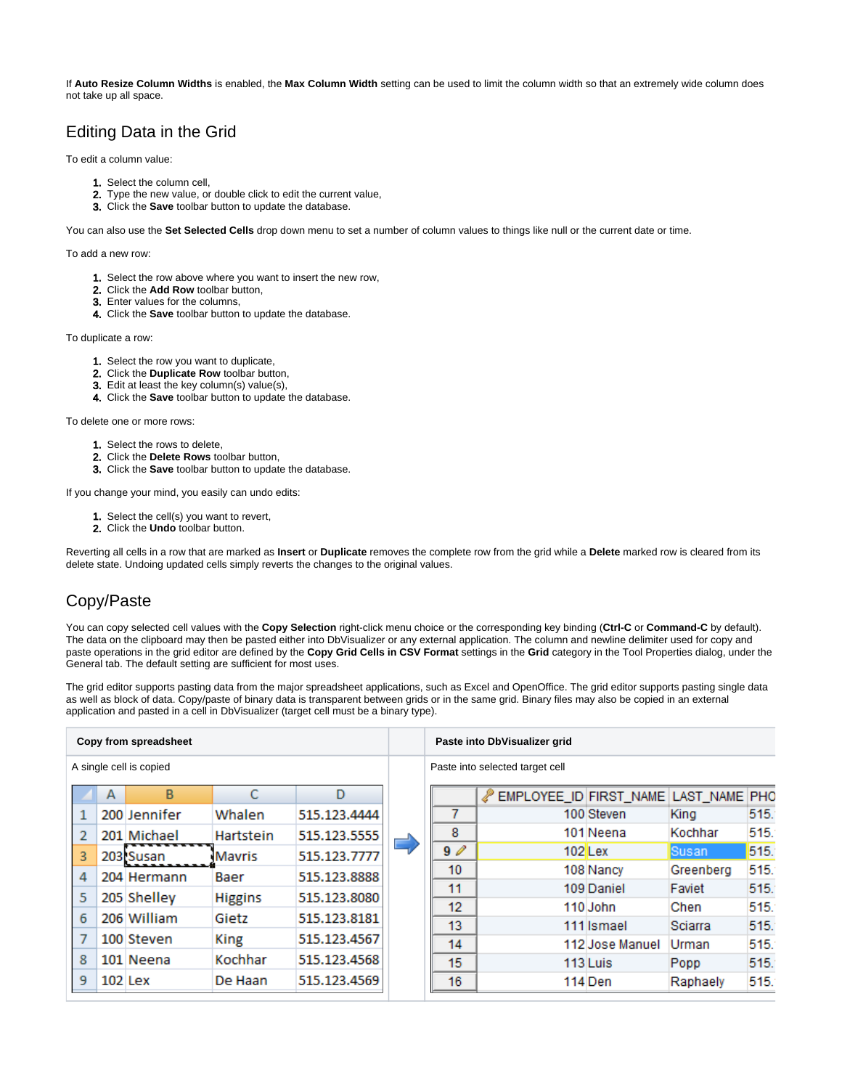If **Auto Resize Column Widths** is enabled, the **Max Column Width** setting can be used to limit the column width so that an extremely wide column does not take up all space.

# <span id="page-1-0"></span>Editing Data in the Grid

To edit a column value:

- 1. Select the column cell,
- 2. Type the new value, or double click to edit the current value,
- 3. Click the **Save** toolbar button to update the database.

You can also use the **Set Selected Cells** drop down menu to set a number of column values to things like null or the current date or time.

To add a new row:

- 1. Select the row above where you want to insert the new row,
- 2. Click the **Add Row** toolbar button,
- 3. Enter values for the columns,
- 4. Click the **Save** toolbar button to update the database.

To duplicate a row:

- 1. Select the row you want to duplicate,
- 2. Click the **Duplicate Row** toolbar button,
- 3. Edit at least the key column(s) value(s),
- 4. Click the **Save** toolbar button to update the database.

To delete one or more rows:

- 1. Select the rows to delete,
- 2. Click the **Delete Rows** toolbar button,
- 3. Click the **Save** toolbar button to update the database.

If you change your mind, you easily can undo edits:

- 1. Select the cell(s) you want to revert,
- 2. Click the **Undo** toolbar button.

Reverting all cells in a row that are marked as **Insert** or **Duplicate** removes the complete row from the grid while a **Delete** marked row is cleared from its delete state. Undoing updated cells simply reverts the changes to the original values.

#### <span id="page-1-1"></span>Copy/Paste

You can copy selected cell values with the **Copy Selection** right-click menu choice or the corresponding key binding (**Ctrl-C** or **Command-C** by default). The data on the clipboard may then be pasted either into DbVisualizer or any external application. The column and newline delimiter used for copy and paste operations in the grid editor are defined by the **Copy Grid Cells in CSV Format** settings in the **Grid** category in the Tool Properties dialog, under the General tab. The default setting are sufficient for most uses.

The grid editor supports pasting data from the major spreadsheet applications, such as Excel and OpenOffice. The grid editor supports pasting single data as well as block of data. Copy/paste of binary data is transparent between grids or in the same grid. Binary files may also be copied in an external application and pasted in a cell in DbVisualizer (target cell must be a binary type).

| Copy from spreadsheet |   |                         |                |              |   |                  | Paste into DbVisualizer grid         |                 |              |      |
|-----------------------|---|-------------------------|----------------|--------------|---|------------------|--------------------------------------|-----------------|--------------|------|
|                       |   | A single cell is copied |                |              |   |                  | Paste into selected target cell      |                 |              |      |
|                       | А | B                       | С              | D            |   |                  | EMPLOYEE_ID FIRST_NAME LAST_NAME PHO |                 |              |      |
|                       |   | 200 Jennifer            | Whalen         | 515.123.4444 |   |                  |                                      | 100 Steven      | King         | 515. |
|                       |   | 201 Michael             | Hartstein      | 515.123.5555 |   | 8                |                                      | 101 Neena       | Kochhar      | 515. |
| 3                     |   | 203 Susan               | Mavris         | 515.123.7777 | E | 90               |                                      | $102$ Lex       | <b>Susan</b> | 515. |
| 4                     |   | 204 Hermann             | Baer           | 515.123.8888 |   | 10 <sup>10</sup> |                                      | 108 Nancy       | Greenberg    | 515. |
| 5                     |   | 205 Shelley             | <b>Higgins</b> | 515.123.8080 |   | 11               |                                      | 109 Daniel      | Faviet       | 515. |
|                       |   |                         |                |              |   | 12               |                                      | 110 John        | Chen         | 515. |
| 6                     |   | 206 William             | Gietz          | 515.123.8181 |   | 13               |                                      | 111 Ismael      | Sciarra      | 515. |
|                       |   | 100 Steven              | King           | 515.123.4567 |   | 14               |                                      | 112 Jose Manuel | Urman        | 515. |
| 8                     |   | 101 Neena               | Kochhar        | 515.123.4568 |   | 15               |                                      | 113 Luis        | Popp         | 515. |
| 9                     |   | $102$ Lex               | De Haan        | 515.123.4569 |   | 16               |                                      | 114 Den         | Raphaely     | 515. |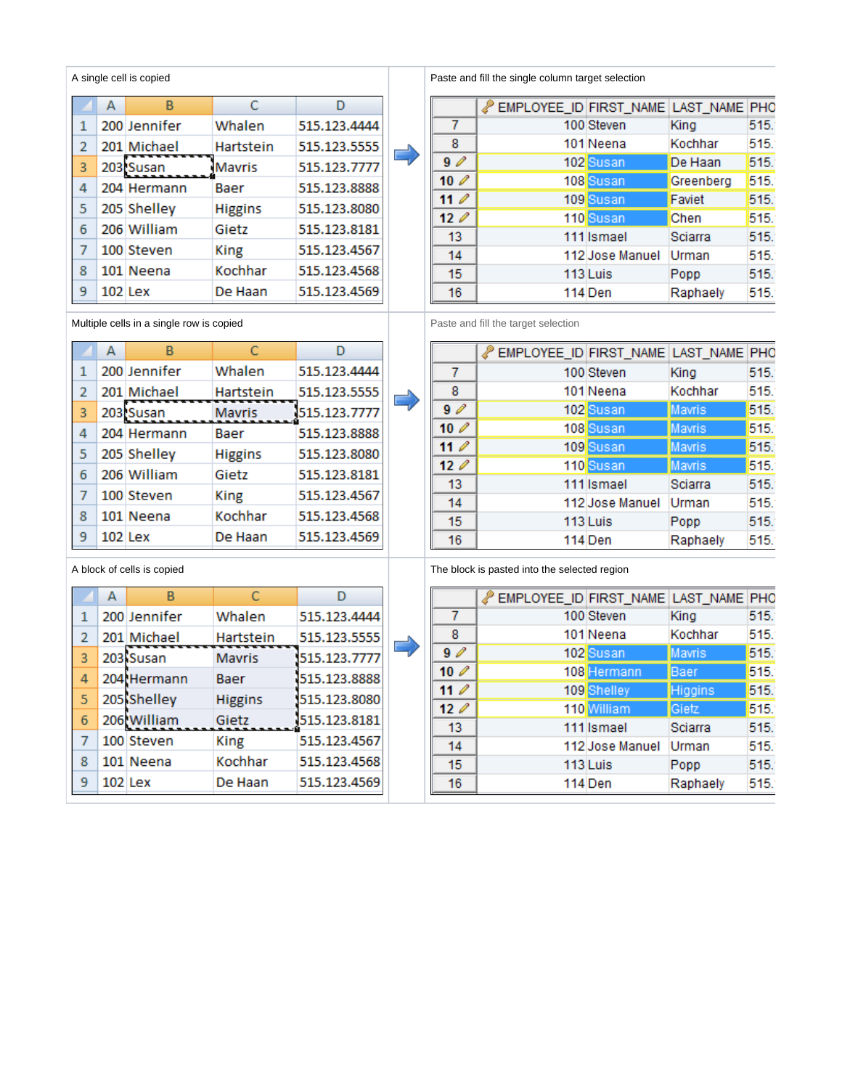| A single cell is copied |           |              |                |              |  |  |  |  |  |
|-------------------------|-----------|--------------|----------------|--------------|--|--|--|--|--|
|                         | А         | B            | C              | D            |  |  |  |  |  |
| 1                       |           | 200 Jennifer | Whalen         | 515.123.4444 |  |  |  |  |  |
| 2                       |           | 201 Michael  | Hartstein      | 515.123.5555 |  |  |  |  |  |
| 3                       |           | 203 Susan    | <b>Mavris</b>  | 515.123.7777 |  |  |  |  |  |
| 4                       |           | 204 Hermann  | Baer           | 515.123.8888 |  |  |  |  |  |
| 5                       |           | 205 Shelley  | <b>Higgins</b> | 515.123.8080 |  |  |  |  |  |
| 6                       |           | 206 William  | Gietz          | 515.123.8181 |  |  |  |  |  |
| 7                       |           | 100 Steven   | King           | 515.123.4567 |  |  |  |  |  |
| 8                       |           | 101 Neena    | Kochhar        | 515.123.4568 |  |  |  |  |  |
| 9                       | $102$ Lex |              | De Haan        | 515.123.4569 |  |  |  |  |  |

Multiple cells in a single row is copied Paste and fill the target selection

#### $\overline{A}$  $\overline{B}$  $\overline{C}$  $\overline{D}$ 200 Jennifer Whalen 515.123.4444  $\mathbf 1$ 515.123.5555  $\overline{2}$ 201 Michael Hartstein 203 Susan Mavris 515.123.7777  $\overline{\mathbf{3}}$ 515.123.8888  $\sqrt{4}$ 204 Hermann Baer 5 205 Shelley 515.123.8080 **Higgins**  $\overline{6}$ 206 William Gietz 515.123.8181  $\overline{7}$ 100 Steven **King** 515.123.4567 8 101 Neena Kochhar 515.123.4568 9 102 Lex De Haan 515.123.4569

|                | А         | в            | C              |              |  |
|----------------|-----------|--------------|----------------|--------------|--|
|                |           | 200 Jennifer | Whalen         | 515.123.4444 |  |
| $\overline{2}$ |           | 201 Michael  | Hartstein      | 515.123.5555 |  |
| 3              |           | 203 Susan    | <b>Mavris</b>  | 515.123.7777 |  |
| 4              |           | 204 Hermann  | Baer           | 515.123.8888 |  |
| 5              |           | 205 Shelley  | <b>Higgins</b> | 515.123.8080 |  |
| 6              |           | 206 William  | Gietz          | 515.123.8181 |  |
| 7              |           | 100 Steven   | <b>King</b>    | 515.123.4567 |  |
| 8              |           | 101 Neena    | Kochhar        | 515.123.4568 |  |
| 9              | $102$ Lex |              | De Haan        | 515.123.4569 |  |

Paste and fill the single column target selection

|             | EMPLOYEE_ID FIRST_NAME LAST_NAME PHO |                 |           |      |
|-------------|--------------------------------------|-----------------|-----------|------|
| 7           |                                      | 100 Steven      | King      | 515. |
| 8           |                                      | 101 Neena       | Kochhar   | 515. |
| 90          |                                      | 102 Susan       | De Haan   | 515. |
| $10\ell$    |                                      | 108 Susan       | Greenberg | 515. |
| $11$ $\ell$ |                                      | 109 Susan       | Faviet    | 515. |
| 120         |                                      | 110 Susan       | Chen      | 515. |
| 13          |                                      | 111 Ismael      | Sciarra   | 515. |
| 14          |                                      | 112 Jose Manuel | Urman     | 515. |
| 15          |                                      | 113 Luis        | Popp      | 515. |
| 16          |                                      | 114 Den         | Raphaely  | 515. |

Е

|             | EMPLOYEE_ID FIRST_NAME LAST_NAME PHO |                 |               |      |
|-------------|--------------------------------------|-----------------|---------------|------|
| 7           |                                      | 100 Steven      | King          | 515. |
| 8           |                                      | 101 Neena       | Kochhar       | 515. |
| 90          |                                      | 102 Susan       | <b>Mavris</b> | 515. |
| $10\ell$    |                                      | 108 Susan       | <b>Mavris</b> | 515. |
| $11$ $\ell$ |                                      | 109 Susan       | <b>Mavris</b> | 515. |
| 120         |                                      | 110 Susan       | <b>Mavris</b> | 515. |
| 13          |                                      | 111 Ismael      | Sciarra       | 515. |
| 14          |                                      | 112 Jose Manuel | Urman         | 515. |
| 15          |                                      | 113 Luis        | Popp          | 515. |
| 16          |                                      | 114 Den         | Raphaely      | 515. |

A block of cells is copied The block is pasted into the selected region

|                 | EMPLOYEE_ID FIRST_NAME LAST_NAME PHO |                 |                |      |
|-----------------|--------------------------------------|-----------------|----------------|------|
|                 |                                      | 100 Steven      | King           | 515. |
| 8               |                                      | 101 Neena       | Kochhar        | 515. |
| 90              |                                      | 102 Susan       | <b>Mavris</b>  | 515. |
| 10 <sup>2</sup> |                                      | 108 Hermann     | <b>Baer</b>    | 515. |
| $11$ $\ell$     |                                      | 109 Shelley     | <b>Higgins</b> | 515. |
| 120             |                                      | 110 William     | <b>Gietz</b>   | 515. |
| 13              |                                      | 111 Ismael      | Sciarra        | 515. |
| 14              |                                      | 112 Jose Manuel | Urman          | 515. |
| 15              |                                      | 113 Luis        | Popp           | 515. |
| 16              |                                      | 114 Den         | Raphaely       | 515. |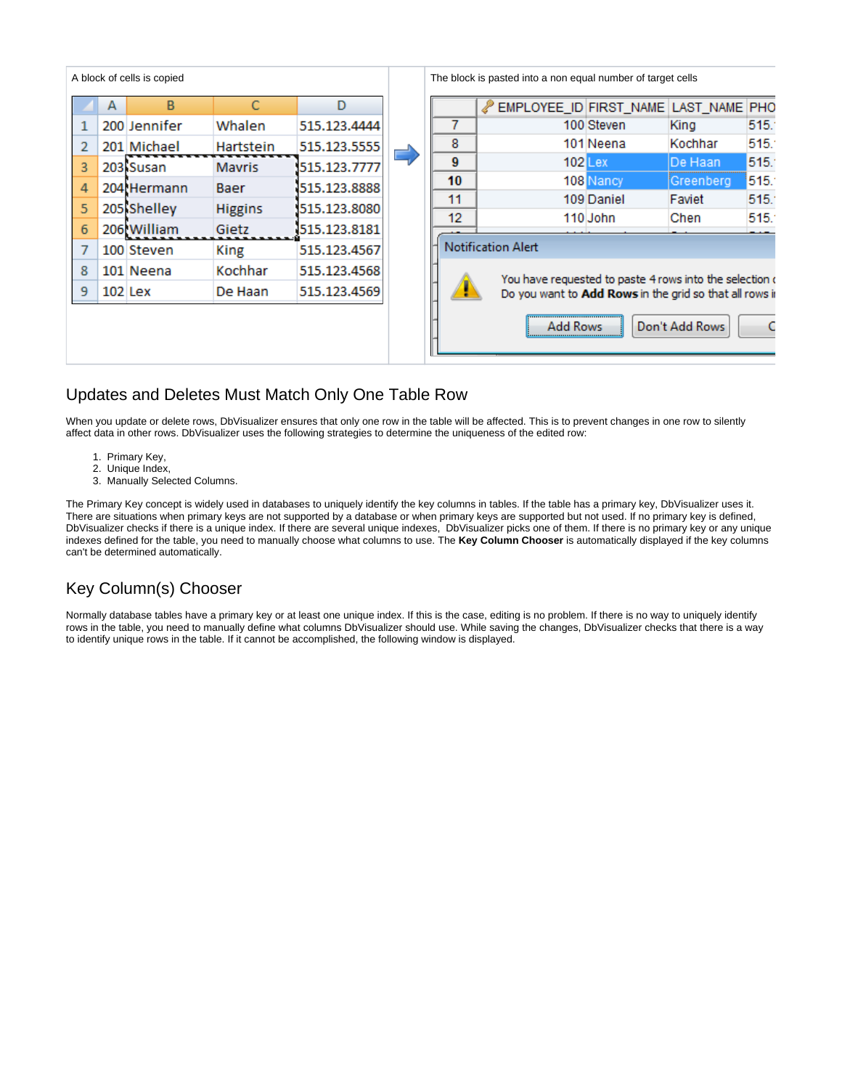| B | C                                                                                                                                                                | D              |              |   |    |          |                           | LAST_NAME PHO                                                                           |                                                                                                                                                                                                                                    |
|---|------------------------------------------------------------------------------------------------------------------------------------------------------------------|----------------|--------------|---|----|----------|---------------------------|-----------------------------------------------------------------------------------------|------------------------------------------------------------------------------------------------------------------------------------------------------------------------------------------------------------------------------------|
|   | Whalen                                                                                                                                                           | 515.123.4444   |              |   |    |          |                           | King                                                                                    | 515.                                                                                                                                                                                                                               |
|   | Hartstein                                                                                                                                                        | 515.123.5555   |              | 8 |    |          |                           | Kochhar                                                                                 | 515.                                                                                                                                                                                                                               |
|   | <b>Mavris</b>                                                                                                                                                    | 515.123.7777   |              | 9 |    |          |                           | De Haan                                                                                 | 515.                                                                                                                                                                                                                               |
|   | Baer                                                                                                                                                             | 515.123.8888   |              |   |    |          |                           | Greenberg                                                                               | 515.                                                                                                                                                                                                                               |
|   |                                                                                                                                                                  |                |              |   |    |          |                           | Faviet                                                                                  | 515.                                                                                                                                                                                                                               |
|   | Gietz                                                                                                                                                            | 515.123.8181   |              |   |    |          |                           |                                                                                         | 515.                                                                                                                                                                                                                               |
|   | King                                                                                                                                                             | 515.123.4567   |              |   |    |          |                           |                                                                                         |                                                                                                                                                                                                                                    |
|   | Kochhar                                                                                                                                                          | 515.123.4568   |              |   |    |          |                           |                                                                                         |                                                                                                                                                                                                                                    |
|   | De Haan                                                                                                                                                          | 515.123.4569   |              |   |    |          |                           |                                                                                         |                                                                                                                                                                                                                                    |
|   |                                                                                                                                                                  |                |              |   |    |          |                           |                                                                                         | C                                                                                                                                                                                                                                  |
|   | A block of cells is copied<br>A<br>200 Jennifer<br>201 Michael<br>203 Susan<br>204 Hermann<br>205 Shelley<br>206 William<br>100 Steven<br>101 Neena<br>$102$ Lex | <b>Higgins</b> | 515.123.8080 |   | 11 | 10<br>12 | <b>Notification Alert</b> | 100 Steven<br>101 Neena<br>$102$ Lex<br>108 Nancy<br>109 Daniel<br>110 John<br>Add Rows | The block is pasted into a non equal number of target cells<br>EMPLOYEE_ID FIRST_NAME<br>Chen<br>You have requested to paste 4 rows into the selection<br>Do you want to Add Rows in the grid so that all rows i<br>Don't Add Rows |

#### <span id="page-3-0"></span>Updates and Deletes Must Match Only One Table Row

When you update or delete rows, DbVisualizer ensures that only one row in the table will be affected. This is to prevent changes in one row to silently affect data in other rows. DbVisualizer uses the following strategies to determine the uniqueness of the edited row:

- 1. Primary Key,
- 2. Unique Index,
- 3. Manually Selected Columns.

The Primary Key concept is widely used in databases to uniquely identify the key columns in tables. If the table has a primary key, DbVisualizer uses it. There are situations when primary keys are not supported by a database or when primary keys are supported but not used. If no primary key is defined, DbVisualizer checks if there is a unique index. If there are several unique indexes, DbVisualizer picks one of them. If there is no primary key or any unique indexes defined for the table, you need to manually choose what columns to use. The **Key Column Chooser** is automatically displayed if the key columns can't be determined automatically.

# <span id="page-3-1"></span>Key Column(s) Chooser

Normally database tables have a primary key or at least one unique index. If this is the case, editing is no problem. If there is no way to uniquely identify rows in the table, you need to manually define what columns DbVisualizer should use. While saving the changes, DbVisualizer checks that there is a way to identify unique rows in the table. If it cannot be accomplished, the following window is displayed.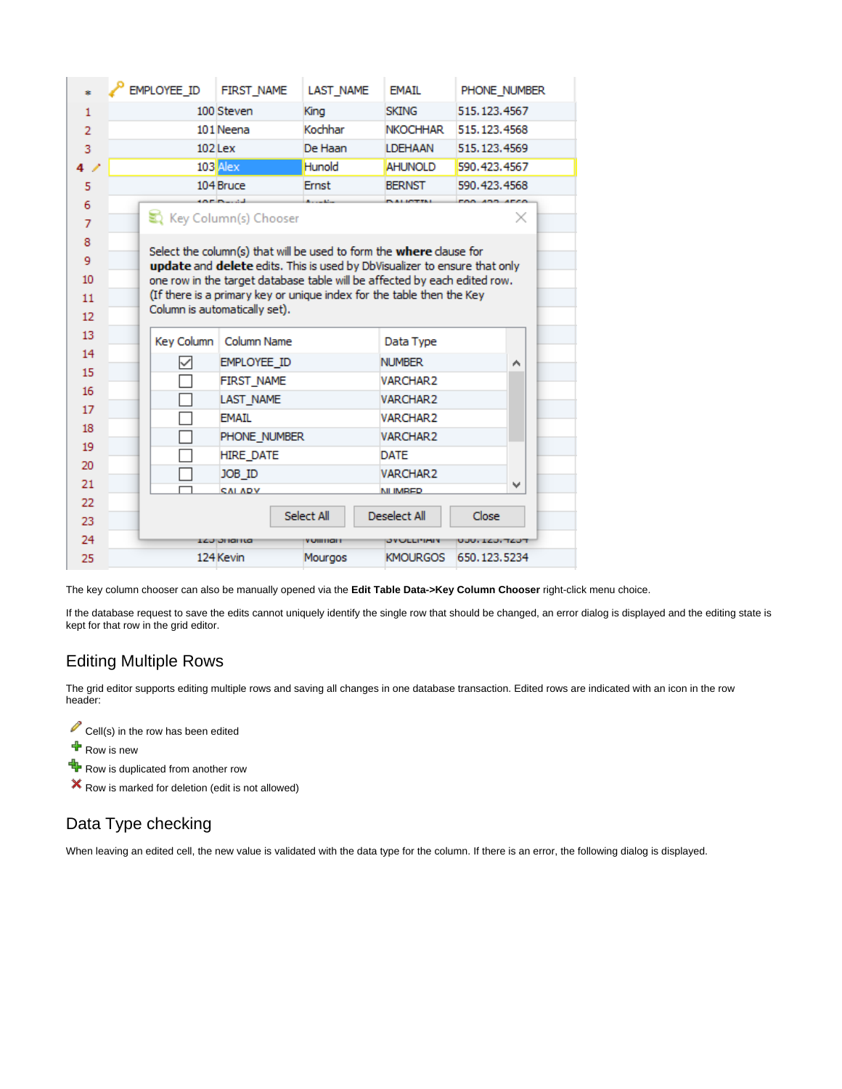|                | <b>EMPLOYEE ID</b> | <b>FIRST NAME</b>                                                          | <b>LAST NAME</b> | <b>FMAIL</b>       | PHONE NUMBER   |
|----------------|--------------------|----------------------------------------------------------------------------|------------------|--------------------|----------------|
| $\mathbf{1}$   |                    | 100 Steven                                                                 | King             | <b>SKING</b>       | 515.123.4567   |
| $\overline{2}$ |                    | 101 Neena                                                                  | Kochhar          | <b>NKOCHHAR</b>    | 515, 123, 4568 |
| 3              |                    | $102$ Lex                                                                  | De Haan          | <b>LDEHAAN</b>     | 515.123.4569   |
| $\overline{a}$ |                    | 103 Alex                                                                   | Hunold           | <b>AHUNOLD</b>     | 590.423.4567   |
| 5              |                    | 104 Bruce                                                                  | <b>Ernst</b>     | <b>BERNST</b>      | 590.423.4568   |
| 6              |                    | <b>SERVICE</b>                                                             |                  |                    |                |
| $\overline{7}$ |                    | Key Column(s) Chooser                                                      |                  |                    | ×              |
| 8              |                    | Select the column(s) that will be used to form the <b>where</b> clause for |                  |                    |                |
| 9              |                    | update and delete edits. This is used by DbVisualizer to ensure that only  |                  |                    |                |
| 10             |                    | one row in the target database table will be affected by each edited row.  |                  |                    |                |
| 11             |                    | (If there is a primary key or unique index for the table then the Key      |                  |                    |                |
| 12             |                    | Column is automatically set).                                              |                  |                    |                |
| 13             | Key Column         | Column Name                                                                |                  | Data Type          |                |
| 14             | ✓                  | EMPLOYEE ID                                                                |                  | <b>NUMBER</b>      | ۸              |
| 15             |                    | <b>FIRST NAME</b>                                                          |                  | <b>VARCHAR2</b>    |                |
| 16             |                    | <b>LAST NAME</b>                                                           |                  | <b>VARCHAR2</b>    |                |
| 17             |                    | <b>FMATI</b>                                                               |                  | <b>VARCHAR2</b>    |                |
| 18             |                    | PHONE NUMBER                                                               |                  | <b>VARCHAR2</b>    |                |
| 19             |                    | <b>HIRE DATE</b>                                                           |                  | <b>DATE</b>        |                |
| 20             |                    | JOB ID                                                                     |                  | VARCHAR2           |                |
| 21             |                    | <b>CALADY</b>                                                              |                  | <b>NI IMRED</b>    | $\checkmark$   |
| 22             |                    |                                                                            |                  |                    |                |
| 23             |                    |                                                                            | Select All       | Deselect All       | Close          |
| 24             |                    | <b>LZJ JHAHLA</b>                                                          | тиннан           | <b>JYULLI'IMIY</b> | UUU, IZU, TZUT |
| 25             |                    | 124 Kevin                                                                  | Mourgos          | <b>KMOURGOS</b>    | 650.123.5234   |

The key column chooser can also be manually opened via the **Edit Table Data->Key Column Chooser** right-click menu choice.

If the database request to save the edits cannot uniquely identify the single row that should be changed, an error dialog is displayed and the editing state is kept for that row in the grid editor.

#### <span id="page-4-0"></span>Editing Multiple Rows

The grid editor supports editing multiple rows and saving all changes in one database transaction. Edited rows are indicated with an icon in the row header:

- Cell(s) in the row has been edited
- $\ddot{\mathbf{r}}$  Row is new
- Row is duplicated from another row
- Row is marked for deletion (edit is not allowed)

#### <span id="page-4-1"></span>Data Type checking

When leaving an edited cell, the new value is validated with the data type for the column. If there is an error, the following dialog is displayed.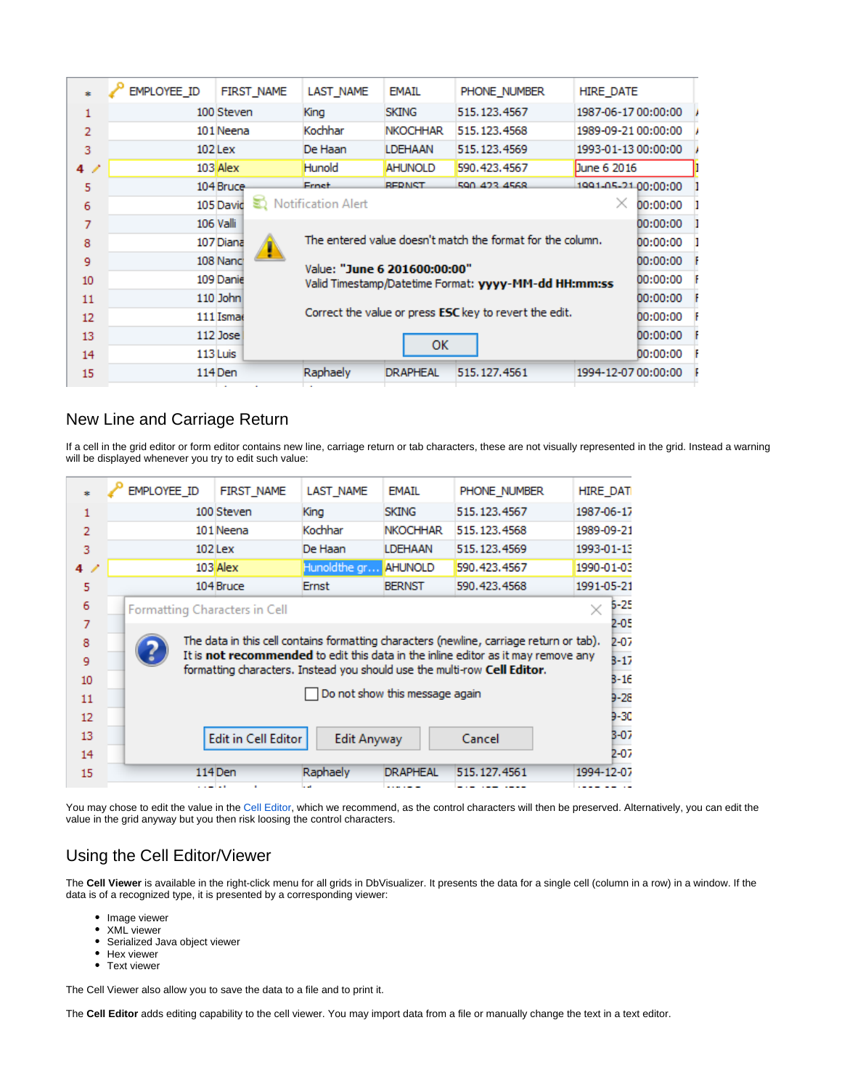|    | EMPLOYEE_ID | <b>FIRST NAME</b> | LAST NAME                    | <b>EMAIL</b>    | PHONE NUMBER                                                  | <b>HIRE DATE</b>    |          |  |
|----|-------------|-------------------|------------------------------|-----------------|---------------------------------------------------------------|---------------------|----------|--|
| 1  |             | 100 Steven        | King                         | <b>SKING</b>    | 515.123.4567                                                  | 1987-06-17 00:00:00 |          |  |
| 2  |             | 101 Neena         | Kochhar                      | <b>NKOCHHAR</b> | 515, 123, 4568                                                | 1989-09-21 00:00:00 |          |  |
| 3  |             | 102 Lex           | De Haan                      | LDEHAAN         | 515, 123, 4569                                                | 1993-01-13 00:00:00 |          |  |
| 4/ |             | $103$ Alex        | Hunold                       | <b>AHUNOLD</b>  | 590.423.4567                                                  | Dune 6 2016         |          |  |
| 5  |             | 104 Bruce         | <b>Ernet</b>                 | <b>REDNST</b>   | 590 423 4568                                                  | 1991-05-21 00:00:00 |          |  |
| 6  |             | 105 David         | Notification Alert           |                 |                                                               | ×                   | 00:00:00 |  |
| 7  |             | <b>106 Valli</b>  |                              |                 |                                                               |                     | 00:00:00 |  |
| 8  |             | 107 Diana         |                              |                 | The entered value doesn't match the format for the column.    |                     | 00:00:00 |  |
| 9  |             | 108 Nanch         | Value: "June 6 201600:00:00" |                 |                                                               |                     | 00:00:00 |  |
| 10 |             | 109 Danie         |                              |                 | Valid Timestamp/Datetime Format: yyyy-MM-dd HH:mm:ss          |                     | 00:00:00 |  |
| 11 |             | 110 John          |                              |                 |                                                               |                     | 00:00:00 |  |
| 12 |             | 111 Ismae         |                              |                 | Correct the value or press <b>ESC</b> key to revert the edit. |                     | 00:00:00 |  |
| 13 |             | 112 Jose          |                              | ок              |                                                               |                     | 00:00:00 |  |
| 14 |             | 113 Luis          |                              |                 |                                                               |                     | 00:00:00 |  |
| 15 |             | 114 Den           | Raphaely                     | <b>DRAPHEAL</b> | 515, 127, 4561                                                | 1994-12-07 00:00:00 |          |  |
|    |             |                   |                              |                 |                                                               |                     |          |  |

#### <span id="page-5-0"></span>New Line and Carriage Return

If a cell in the grid editor or form editor contains new line, carriage return or tab characters, these are not visually represented in the grid. Instead a warning will be displayed whenever you try to edit such value:

| ż              | EMPLOYEE ID                   | <b>FIRST NAME</b>          | LAST_NAME          | <b>EMAIL</b>                   | PHONE NUMBER                                                                                                                                                  | <b>HIRE_DAT</b> |
|----------------|-------------------------------|----------------------------|--------------------|--------------------------------|---------------------------------------------------------------------------------------------------------------------------------------------------------------|-----------------|
| 1              |                               | 100 Steven                 | King               | <b>SKING</b>                   | 515.123.4567                                                                                                                                                  | 1987-06-17      |
| $\overline{2}$ |                               | 101 Neena                  | Kochhar            | <b>NKOCHHAR</b>                | 515.123.4568                                                                                                                                                  | 1989-09-21      |
| 3              |                               | $102$ Lex                  | De Haan            | <b>LDEHAAN</b>                 | 515.123.4569                                                                                                                                                  | 1993-01-13      |
| 4/             |                               | 103 Alex                   | Hunoldthe gr       | <b>AHUNOLD</b>                 | 590.423.4567                                                                                                                                                  | 1990-01-03      |
| 5              |                               | 104 Bruce                  | Ernst              | <b>BERNST</b>                  | 590.423.4568                                                                                                                                                  | 1991-05-21      |
| 6              | Formatting Characters in Cell |                            |                    |                                |                                                                                                                                                               | 5-25            |
| $\overline{7}$ |                               |                            |                    |                                |                                                                                                                                                               | $2 - 0.5$       |
| 8              |                               |                            |                    |                                | The data in this cell contains formatting characters (newline, carriage return or tab).                                                                       | $2 - 07$        |
| 9              |                               |                            |                    |                                | It is not recommended to edit this data in the inline editor as it may remove any<br>formatting characters. Instead you should use the multi-row Cell Editor. | $3 - 17$        |
| 10             |                               |                            |                    |                                |                                                                                                                                                               | $B - 16$        |
| 11             |                               |                            |                    | Do not show this message again |                                                                                                                                                               | $9 - 28$        |
| 12             |                               |                            |                    |                                |                                                                                                                                                               | $9 - 30$        |
| 13             |                               | <b>Edit in Cell Editor</b> | <b>Edit Anyway</b> |                                | Cancel                                                                                                                                                        | $B - 07$        |
| 14             |                               |                            |                    |                                |                                                                                                                                                               | $2 - 07$        |
| 15             |                               | 114 Den                    | Raphaely           | <b>DRAPHEAL</b>                | 515, 127, 4561                                                                                                                                                | 1994-12-07      |
|                | والمستنبذ والمستنبذ           | $\mathbf{r}$               | المداما            | ------                         |                                                                                                                                                               |                 |

You may chose to edit the value in the [Cell Editor,](#page-5-1) which we recommend, as the control characters will then be preserved. Alternatively, you can edit the value in the grid anyway but you then risk loosing the control characters.

#### <span id="page-5-1"></span>Using the Cell Editor/Viewer

The **Cell Viewer** is available in the right-click menu for all grids in DbVisualizer. It presents the data for a single cell (column in a row) in a window. If the data is of a recognized type, it is presented by a corresponding viewer:

- Image viewer
- XML viewer  $\bullet$
- Serialized Java object viewer
- Hex viewer
- Text viewer

The Cell Viewer also allow you to save the data to a file and to print it.

The **Cell Editor** adds editing capability to the cell viewer. You may import data from a file or manually change the text in a text editor.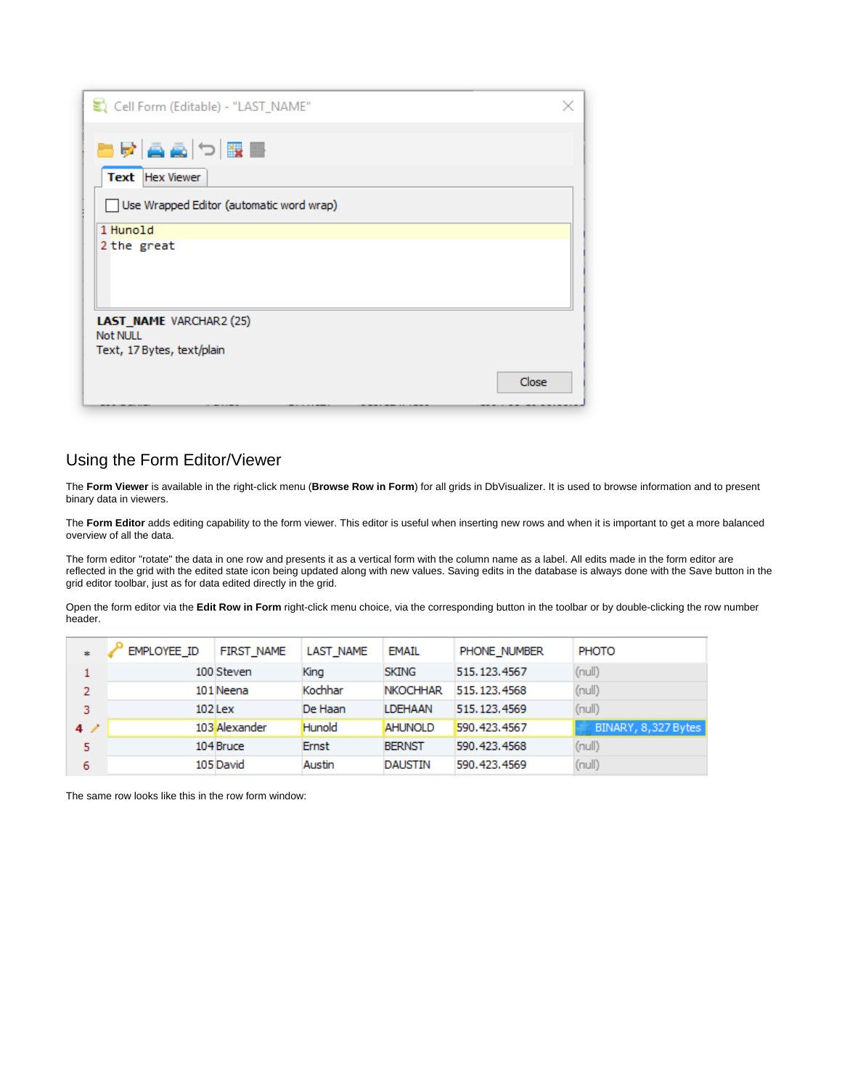| Cell Form (Editable) - "LAST_NAME"       |       |
|------------------------------------------|-------|
| BRAADBB                                  |       |
| <b>Text</b> Hex Viewer                   |       |
| Use Wrapped Editor (automatic word wrap) |       |
| 1 Hunold                                 |       |
| 2 the great                              |       |
|                                          |       |
|                                          |       |
|                                          |       |
| LAST_NAME VARCHAR2 (25)                  |       |
| <b>Not NULL</b>                          |       |
| Text, 17 Bytes, text/plain               |       |
|                                          | Close |
|                                          |       |

#### <span id="page-6-0"></span>Using the Form Editor/Viewer

The **Form Viewer** is available in the right-click menu (**Browse Row in Form**) for all grids in DbVisualizer. It is used to browse information and to present binary data in viewers.

The Form Editor adds editing capability to the form viewer. This editor is useful when inserting new rows and when it is important to get a more balanced overview of all the data.

The form editor "rotate" the data in one row and presents it as a vertical form with the column name as a label. All edits made in the form editor are reflected in the grid with the edited state icon being updated along with new values. Saving edits in the database is always done with the Save button in the grid editor toolbar, just as for data edited directly in the grid.

Open the form editor via the **Edit Row in Form** right-click menu choice, via the corresponding button in the toolbar or by double-clicking the row number header.

| ÷  | EMPLOYEE ID | <b>FIRST NAME</b> | LAST NAME | <b>EMAIL</b>    | PHONE NUMBER   | PHOTO               |
|----|-------------|-------------------|-----------|-----------------|----------------|---------------------|
|    |             | 100 Steven        | King      | <b>SKING</b>    | 515, 123, 4567 | (null)              |
| 2  |             | 101 Neena         | Kochhar   | <b>NKOCHHAR</b> | 515, 123, 4568 | (null)              |
| 3  |             | 102 Lex           | De Haan   | <b>LDEHAAN</b>  | 515.123.4569   | (null)              |
| 4/ |             | 103 Alexander     | Hunold    | <b>AHUNOLD</b>  | 590.423.4567   | BINARY, 8,327 Bytes |
| 5  |             | 104 Bruce         | Ernst     | <b>BERNST</b>   | 590.423.4568   | (nul)               |
| 6  |             | 105 David         | Austin    | <b>DAUSTIN</b>  | 590.423.4569   | (nul)               |

The same row looks like this in the row form window: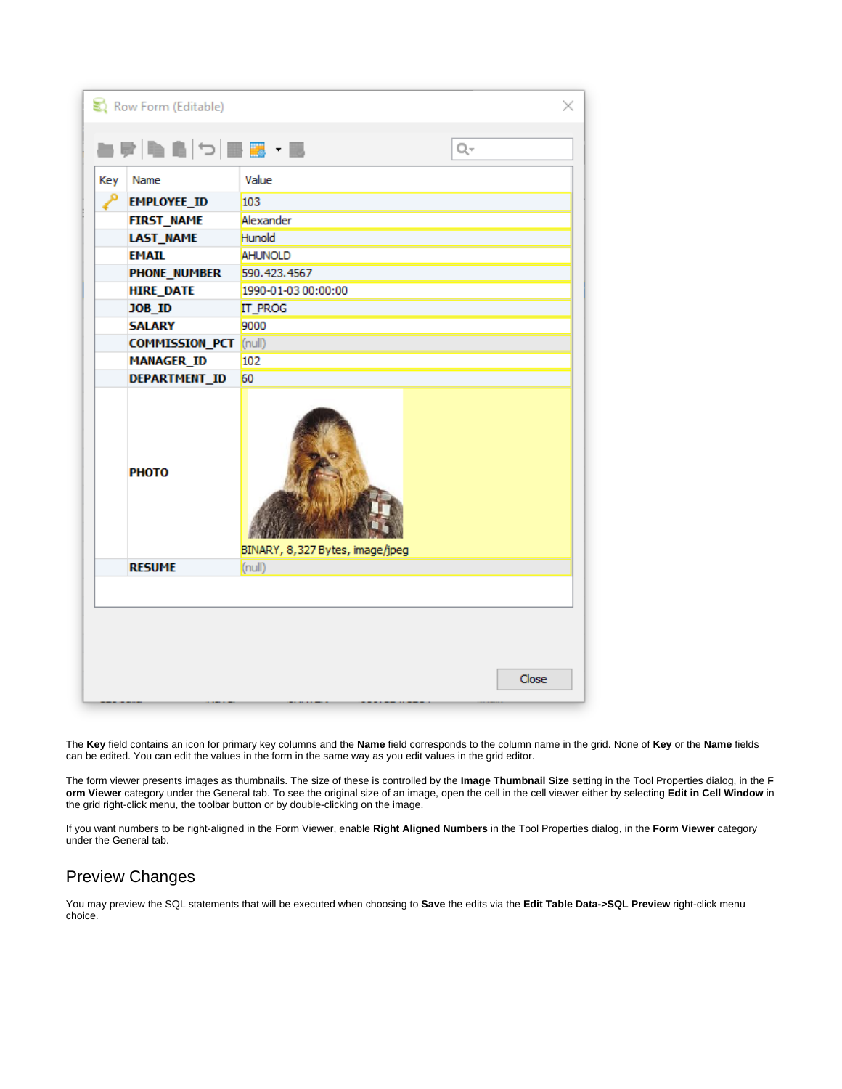| Key | Name                         | Value                           |  |  |  |  |
|-----|------------------------------|---------------------------------|--|--|--|--|
| ۹   | <b>EMPLOYEE_ID</b>           | 103                             |  |  |  |  |
|     | <b>FIRST_NAME</b>            | Alexander                       |  |  |  |  |
|     | <b>LAST_NAME</b>             | Hunold                          |  |  |  |  |
|     | <b>EMAIL</b>                 | <b>AHUNOLD</b>                  |  |  |  |  |
|     | <b>PHONE_NUMBER</b>          | 590.423.4567                    |  |  |  |  |
|     | <b>HIRE_DATE</b>             | 1990-01-03 00:00:00             |  |  |  |  |
|     | JOB_ID                       | <b>IT_PROG</b><br>9000          |  |  |  |  |
|     | <b>SALARY</b>                |                                 |  |  |  |  |
|     | <b>COMMISSION_PCT</b> (null) |                                 |  |  |  |  |
|     | <b>MANAGER ID</b>            | 102                             |  |  |  |  |
|     | DEPARTMENT_ID                | 60                              |  |  |  |  |
|     | <b>PHOTO</b>                 | BINARY, 8,327 Bytes, image/jpeg |  |  |  |  |
|     | <b>RESUME</b>                | (null)                          |  |  |  |  |
|     |                              |                                 |  |  |  |  |
|     |                              |                                 |  |  |  |  |

The **Key** field contains an icon for primary key columns and the **Name** field corresponds to the column name in the grid. None of **Key** or the **Name** fields can be edited. You can edit the values in the form in the same way as you edit values in the grid editor.

The form viewer presents images as thumbnails. The size of these is controlled by the **Image Thumbnail Size** setting in the Tool Properties dialog, in the **F orm Viewer** category under the General tab. To see the original size of an image, open the cell in the cell viewer either by selecting **Edit in Cell Window** in the grid right-click menu, the toolbar button or by double-clicking on the image.

If you want numbers to be right-aligned in the Form Viewer, enable **Right Aligned Numbers** in the Tool Properties dialog, in the **Form Viewer** category under the General tab.

# <span id="page-7-0"></span>Preview Changes

You may preview the SQL statements that will be executed when choosing to **Save** the edits via the **Edit Table Data->SQL Preview** right-click menu choice.